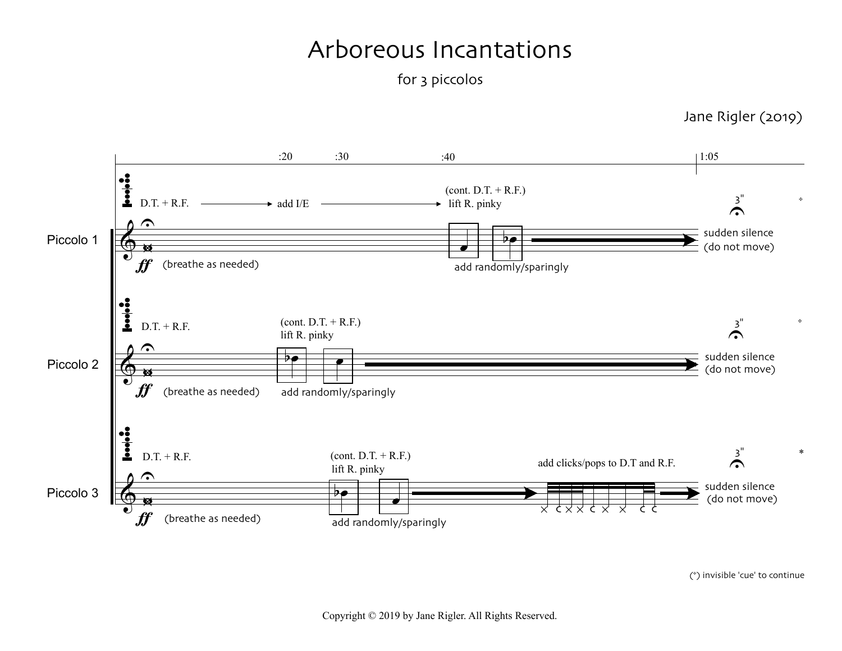## Arboreous Incantations

for 3 piccolos

 $:20$   $:30$ :40 1:05  $\frac{1}{2}$  D.T. + R.F.  $(cont. D.T. + R.F.)$  $\sum_{i=1}^{n}$  $\rightarrow$  lift R. pinky  $\rightarrow$  add I/E  $\hat{\mathbf{C}}$  $\overline{\mathbf{P}$ sudden silence Piccolo 1 w¿  $\pmb{\Phi}$ œ (do not move)  $\boldsymbol{\mathit{f}}$ (breathe as needed) add randomly/sparingly  $\ddot{\cdot}$  $(cont. D.T. + R.F.)$ 3"  $D.T. + R.F.$  $\tilde{\bullet}$ lift R. pinky  $\hat{\mathbf{C}}$  $\overline{b}$ sudden silence Piccolo 2 w¿  $\pmb{\phi}$ (do not move)  $\boldsymbol{\mathit{f}}$ (breathe as needed) add randomly/sparingly  $\frac{1}{2}$  $\sum_{i=1}^{n}$  $D.T. + R.F.$  $(cont. D.T. + R.F.)$ add clicks/pops to D.T and R.F. lift R. pinky  $\hat{\mathbf{C}}$ sudden silence Piccolo 3 w  $\pmb{\phi}$ bœ œ (do not move) \* c \* \* c \* \* c c  $\boldsymbol{\mathit{f}}$ (breathe as needed) add randomly/sparingly

Jane Rigler (2019)

\*

\*

*\**

(\*) invisible 'cue' to continue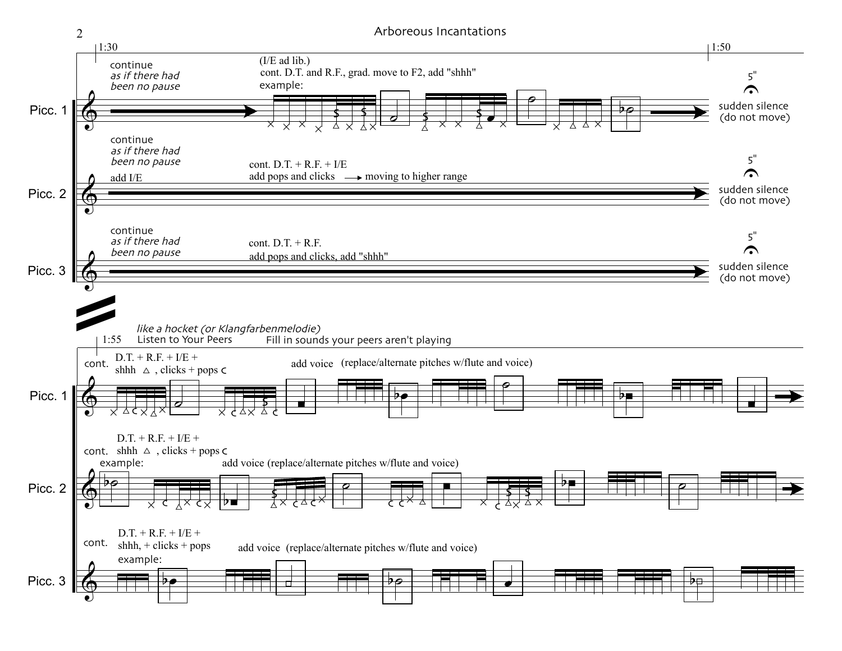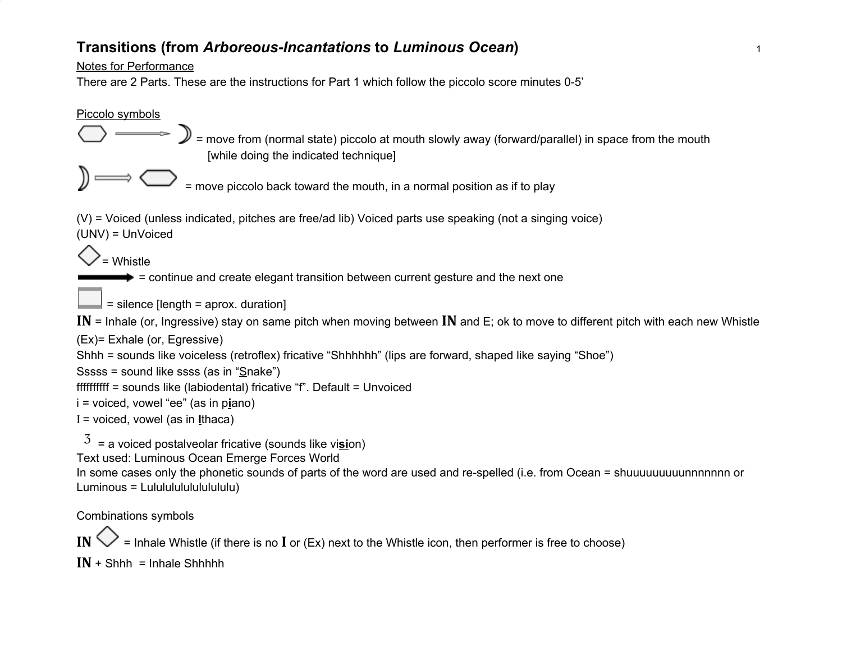## **Transitions (from** *Arboreous-Incantations* **to** *Luminous Ocean***)** <sup>1</sup>

Notes for Performance

There are 2 Parts. These are the instructions for Part 1 which follow the piccolo score minutes 0-5'



IN  $\heartsuit$  = Inhale Whistle (if there is no I or (Ex) next to the Whistle icon, then performer is free to choose)

 $IN + Shhh = Inhale Shhhh$